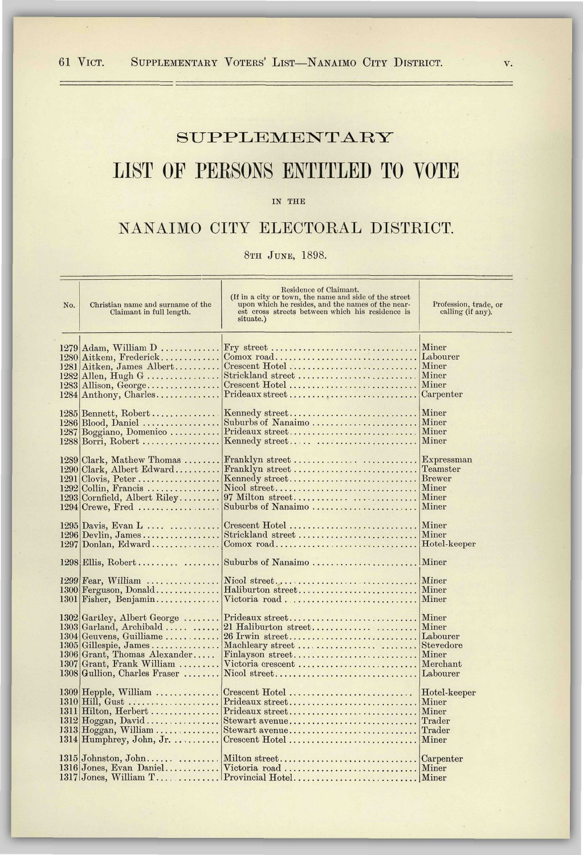## SUPPLEMENTARY

## LIST OF PERSONS ENTITLED TO VOTE

IN THE

## NANAIMO CITY ELECTORAL DISTRICT.

8TH JUNE, 1898.

| No.  | Christian name and surname of the<br>Claimant in full length.                                                                                                                                            | Residence of Claimant.<br>(If in a city or town, the name and side of the street<br>upon which he resides, and the names of the near-<br>est cross streets between which his residence is<br>situate.) | Profession, trade, or<br>calling (if any).                  |
|------|----------------------------------------------------------------------------------------------------------------------------------------------------------------------------------------------------------|--------------------------------------------------------------------------------------------------------------------------------------------------------------------------------------------------------|-------------------------------------------------------------|
| 1281 | $1279$ Adam, William D                                                                                                                                                                                   | Fry street                                                                                                                                                                                             | Miner                                                       |
|      | 1280 Aitkem, Frederick                                                                                                                                                                                   | Comox road                                                                                                                                                                                             | Labourer                                                    |
|      | Aitken, James Albert                                                                                                                                                                                     | Crescent Hotel                                                                                                                                                                                         | Miner                                                       |
|      | $1282$ Allen, Hugh G                                                                                                                                                                                     | Strickland street                                                                                                                                                                                      | Miner                                                       |
|      | $1283$ Allison, George                                                                                                                                                                                   | Crescent Hotel                                                                                                                                                                                         | Miner                                                       |
|      | 1284 Anthony, Charles                                                                                                                                                                                    | Prideaux street                                                                                                                                                                                        | Carpenter                                                   |
|      | $1285$ Bennett, Robert                                                                                                                                                                                   | Kennedy street                                                                                                                                                                                         | Miner                                                       |
|      | $1286 \text{ Blood}, \text{ Daniel} \dots \dots \dots \dots \dots$                                                                                                                                       | Suburbs of Nanaimo                                                                                                                                                                                     | Miner                                                       |
|      | 1287 Boggiano, Domenico                                                                                                                                                                                  | Prideaux street                                                                                                                                                                                        | Miner                                                       |
|      | $1288$ Borri, Robert                                                                                                                                                                                     | Kennedy street                                                                                                                                                                                         | Miner                                                       |
|      | 1289 Clark, Mathew Thomas                                                                                                                                                                                | Franklyn street                                                                                                                                                                                        | Expressman                                                  |
|      | 1290 Clark, Albert Edward                                                                                                                                                                                | Franklyn street                                                                                                                                                                                        | Teamster                                                    |
|      | $1291$ Clovis, Peter                                                                                                                                                                                     | Kennedy street                                                                                                                                                                                         | <b>Brewer</b>                                               |
|      | $1292$ Collin, Francis                                                                                                                                                                                   | Nicol street                                                                                                                                                                                           | Miner                                                       |
|      | 1293 Cornfield, Albert Riley                                                                                                                                                                             | 97 Milton street                                                                                                                                                                                       | Miner                                                       |
|      | $1294$ Crewe, Fred                                                                                                                                                                                       | Suburbs of Nanaimo                                                                                                                                                                                     | Miner                                                       |
|      | $1295$ Davis, Evan L                                                                                                                                                                                     | Crescent Hotel                                                                                                                                                                                         | Miner                                                       |
|      | $1296$ Devlin, James                                                                                                                                                                                     | Strickland street                                                                                                                                                                                      | Miner                                                       |
|      | $1297$ Donlan, Edward                                                                                                                                                                                    | $Comox$ road                                                                                                                                                                                           | Hotel-keeper                                                |
| 1301 | $1298$ Ellis, Robert                                                                                                                                                                                     | Suburbs of Nanaimo                                                                                                                                                                                     | Miner                                                       |
|      | $1299$  Fear, William                                                                                                                                                                                    | Nicol street                                                                                                                                                                                           | Miner                                                       |
|      | $1300$ Ferguson, Donald                                                                                                                                                                                  | Haliburton street                                                                                                                                                                                      | Miner                                                       |
|      | Fisher, Benjamin                                                                                                                                                                                         | Victoria road                                                                                                                                                                                          | Miner                                                       |
| 1307 | $1302$ Gartley, Albert George<br>1303 Garland, Archibald<br>1304 Geuvens, Guilliame<br>$1305$ Gillespie, James<br>1306 Grant, Thomas Alexander<br>Grant, Frank William<br>$1308$ Gullion, Charles Fraser | Prideaux street<br>21 Haliburton street<br>26 Irwin street<br>Finlayson street<br>Victoria crescent<br>Nicol street                                                                                    | Miner<br>Miner<br>Labourer<br>Miner<br>Merchant<br>Labourer |
|      | 1309 Hepple, William<br>$1310$ Hill, Gust<br>$1311$ Hilton, Herbert<br>$1313$ Hoggan, William<br>$1314$ Humphrey, John, Jr.                                                                              | Crescent Hotel<br>Prideaux street<br>Prideaux street<br>Stewart avenue<br>Crescent Hotel                                                                                                               | Hotel-keeper<br>Miner<br>Miner<br>Trader<br>Trader<br>Miner |
|      | $1315$ Johnston, John<br>1316 Jones, Evan Daniel                                                                                                                                                         | Milton street<br>Victoria road                                                                                                                                                                         | Carpenter<br>Miner                                          |